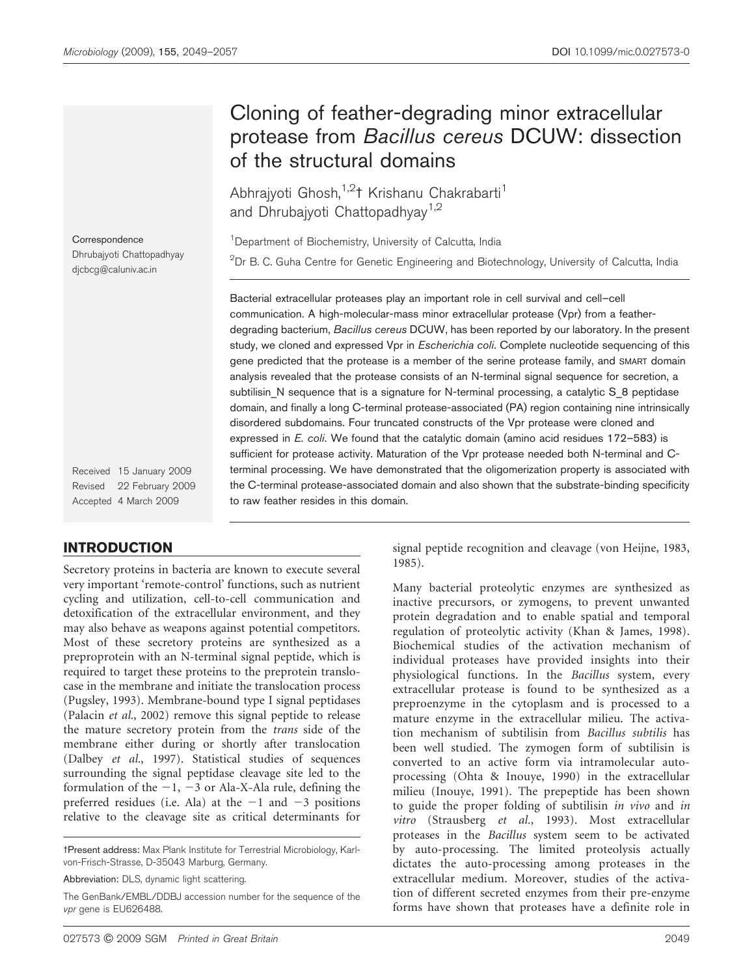# Cloning of feather-degrading minor extracellular protease from Bacillus cereus DCUW: dissection of the structural domains

Abhrajyoti Ghosh,<sup>1,2</sup>1 Krishanu Chakrabarti<sup>1</sup> and Dhrubajyoti Chattopadhyay<sup>1,2</sup>

<sup>1</sup> Department of Biochemistry, University of Calcutta, India  $^{2}$ Dr B. C. Guha Centre for Genetic Engineering and Biotechnology, University of Calcutta, India

Bacterial extracellular proteases play an important role in cell survival and cell–cell communication. A high-molecular-mass minor extracellular protease (Vpr) from a featherdegrading bacterium, Bacillus cereus DCUW, has been reported by our laboratory. In the present study, we cloned and expressed Vpr in *Escherichia coli*. Complete nucleotide sequencing of this gene predicted that the protease is a member of the serine protease family, and SMART domain analysis revealed that the protease consists of an N-terminal signal sequence for secretion, a subtilisin N sequence that is a signature for N-terminal processing, a catalytic S 8 peptidase domain, and finally a long C-terminal protease-associated (PA) region containing nine intrinsically disordered subdomains. Four truncated constructs of the Vpr protease were cloned and expressed in *E. coli*. We found that the catalytic domain (amino acid residues 172-583) is sufficient for protease activity. Maturation of the Vpr protease needed both N-terminal and Cterminal processing. We have demonstrated that the oligomerization property is associated with the C-terminal protease-associated domain and also shown that the substrate-binding specificity to raw feather resides in this domain.

Received 15 January 2009 Revised 22 February 2009 Accepted 4 March 2009

## INTRODUCTION

Secretory proteins in bacteria are known to execute several very important 'remote-control' functions, such as nutrient cycling and utilization, cell-to-cell communication and detoxification of the extracellular environment, and they may also behave as weapons against potential competitors. Most of these secretory proteins are synthesized as a preproprotein with an N-terminal signal peptide, which is required to target these proteins to the preprotein translocase in the membrane and initiate the translocation process (Pugsley, 1993). Membrane-bound type I signal peptidases (Palacin et al., 2002) remove this signal peptide to release the mature secretory protein from the trans side of the membrane either during or shortly after translocation (Dalbey et al., 1997). Statistical studies of sequences surrounding the signal peptidase cleavage site led to the formulation of the  $-1$ ,  $-3$  or Ala-X-Ala rule, defining the preferred residues (i.e. Ala) at the  $-1$  and  $-3$  positions relative to the cleavage site as critical determinants for

tPresent address: Max Plank Institute for Terrestrial Microbiology, Karlvon-Frisch-Strasse, D-35043 Marburg, Germany.

Abbreviation: DLS, dynamic light scattering.

The GenBank/EMBL/DDBJ accession number for the sequence of the vpr gene is EU626488.

signal peptide recognition and cleavage (von Heijne, 1983, 1985).

Many bacterial proteolytic enzymes are synthesized as inactive precursors, or zymogens, to prevent unwanted protein degradation and to enable spatial and temporal regulation of proteolytic activity (Khan & James, 1998). Biochemical studies of the activation mechanism of individual proteases have provided insights into their physiological functions. In the Bacillus system, every extracellular protease is found to be synthesized as a preproenzyme in the cytoplasm and is processed to a mature enzyme in the extracellular milieu. The activation mechanism of subtilisin from Bacillus subtilis has been well studied. The zymogen form of subtilisin is converted to an active form via intramolecular autoprocessing (Ohta & Inouye, 1990) in the extracellular milieu (Inouye, 1991). The prepeptide has been shown to guide the proper folding of subtilisin in vivo and in vitro (Strausberg et al., 1993). Most extracellular proteases in the Bacillus system seem to be activated by auto-processing. The limited proteolysis actually dictates the auto-processing among proteases in the extracellular medium. Moreover, studies of the activation of different secreted enzymes from their pre-enzyme forms have shown that proteases have a definite role in

**Correspondence** 

Dhrubajyoti Chattopadhyay djcbcg@caluniv.ac.in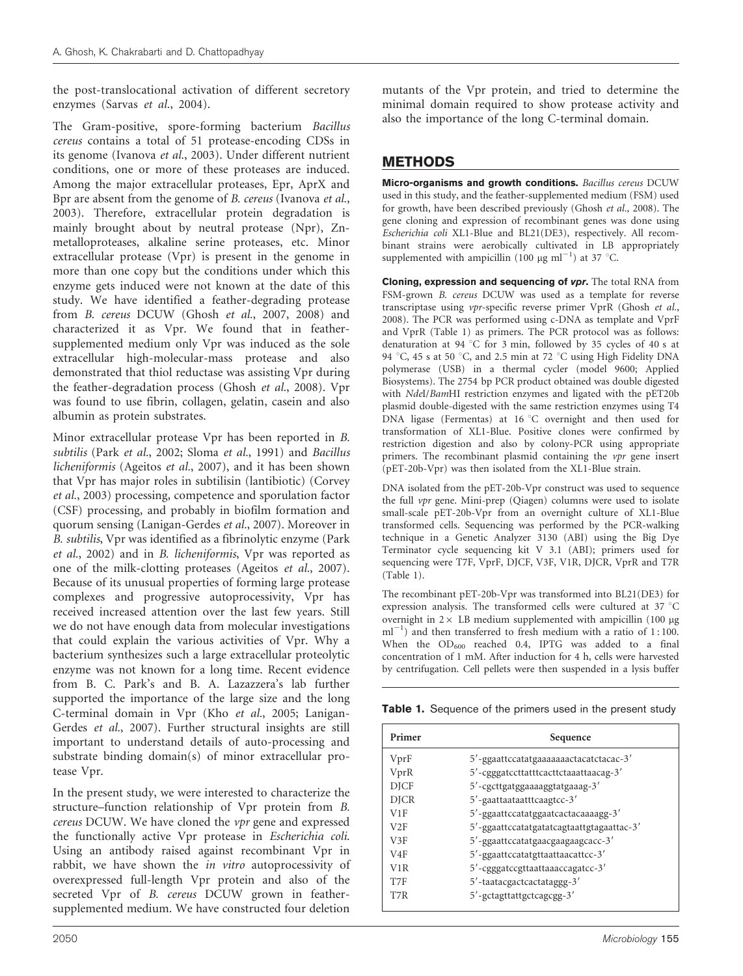the post-translocational activation of different secretory enzymes (Sarvas et al., 2004).

The Gram-positive, spore-forming bacterium Bacillus cereus contains a total of 51 protease-encoding CDSs in its genome (Ivanova et al., 2003). Under different nutrient conditions, one or more of these proteases are induced. Among the major extracellular proteases, Epr, AprX and Bpr are absent from the genome of B. cereus (Ivanova et al., 2003). Therefore, extracellular protein degradation is mainly brought about by neutral protease (Npr), Znmetalloproteases, alkaline serine proteases, etc. Minor extracellular protease (Vpr) is present in the genome in more than one copy but the conditions under which this enzyme gets induced were not known at the date of this study. We have identified a feather-degrading protease from B. cereus DCUW (Ghosh et al., 2007, 2008) and characterized it as Vpr. We found that in feathersupplemented medium only Vpr was induced as the sole extracellular high-molecular-mass protease and also demonstrated that thiol reductase was assisting Vpr during the feather-degradation process (Ghosh et al., 2008). Vpr was found to use fibrin, collagen, gelatin, casein and also albumin as protein substrates.

Minor extracellular protease Vpr has been reported in B. subtilis (Park et al., 2002; Sloma et al., 1991) and Bacillus licheniformis (Ageitos et al., 2007), and it has been shown that Vpr has major roles in subtilisin (lantibiotic) (Corvey et al., 2003) processing, competence and sporulation factor (CSF) processing, and probably in biofilm formation and quorum sensing (Lanigan-Gerdes et al., 2007). Moreover in B. subtilis, Vpr was identified as a fibrinolytic enzyme (Park et al., 2002) and in B. licheniformis, Vpr was reported as one of the milk-clotting proteases (Ageitos et al., 2007). Because of its unusual properties of forming large protease complexes and progressive autoprocessivity, Vpr has received increased attention over the last few years. Still we do not have enough data from molecular investigations that could explain the various activities of Vpr. Why a bacterium synthesizes such a large extracellular proteolytic enzyme was not known for a long time. Recent evidence from B. C. Park's and B. A. Lazazzera's lab further supported the importance of the large size and the long C-terminal domain in Vpr (Kho et al., 2005; Lanigan-Gerdes et al., 2007). Further structural insights are still important to understand details of auto-processing and substrate binding domain(s) of minor extracellular protease Vpr.

In the present study, we were interested to characterize the structure–function relationship of Vpr protein from B. cereus DCUW. We have cloned the vpr gene and expressed the functionally active Vpr protease in Escherichia coli. Using an antibody raised against recombinant Vpr in rabbit, we have shown the in vitro autoprocessivity of overexpressed full-length Vpr protein and also of the secreted Vpr of B. cereus DCUW grown in feathersupplemented medium. We have constructed four deletion

mutants of the Vpr protein, and tried to determine the minimal domain required to show protease activity and also the importance of the long C-terminal domain.

## METHODS

Micro-organisms and growth conditions. Bacillus cereus DCUW used in this study, and the feather-supplemented medium (FSM) used for growth, have been described previously (Ghosh et al., 2008). The gene cloning and expression of recombinant genes was done using Escherichia coli XL1-Blue and BL21(DE3), respectively. All recombinant strains were aerobically cultivated in LB appropriately supplemented with ampicillin (100  $\mu$ g ml<sup>-1</sup>) at 37 °C.

Cloning, expression and sequencing of vpr. The total RNA from FSM-grown B. cereus DCUW was used as a template for reverse transcriptase using vpr-specific reverse primer VprR (Ghosh et al., 2008). The PCR was performed using c-DNA as template and VprF and VprR (Table 1) as primers. The PCR protocol was as follows: denaturation at 94 °C for 3 min, followed by 35 cycles of 40 s at 94 °C, 45 s at 50 °C, and 2.5 min at 72 °C using High Fidelity DNA polymerase (USB) in a thermal cycler (model 9600; Applied Biosystems). The 2754 bp PCR product obtained was double digested with NdeI/BamHI restriction enzymes and ligated with the pET20b plasmid double-digested with the same restriction enzymes using T4 DNA ligase (Fermentas) at 16  $\degree$ C overnight and then used for transformation of XL1-Blue. Positive clones were confirmed by restriction digestion and also by colony-PCR using appropriate primers. The recombinant plasmid containing the  $vpr$  gene insert (pET-20b-Vpr) was then isolated from the XL1-Blue strain.

DNA isolated from the pET-20b-Vpr construct was used to sequence the full vpr gene. Mini-prep (Qiagen) columns were used to isolate small-scale pET-20b-Vpr from an overnight culture of XL1-Blue transformed cells. Sequencing was performed by the PCR-walking technique in a Genetic Analyzer 3130 (ABI) using the Big Dye Terminator cycle sequencing kit V 3.1 (ABI); primers used for sequencing were T7F, VprF, DJCF, V3F, V1R, DJCR, VprR and T7R (Table 1).

The recombinant pET-20b-Vpr was transformed into BL21(DE3) for expression analysis. The transformed cells were cultured at 37  $^{\circ}$ C overnight in  $2 \times$  LB medium supplemented with ampicillin (100 µg  $ml^{-1}$ ) and then transferred to fresh medium with a ratio of 1:100. When the  $OD_{600}$  reached 0.4, IPTG was added to a final concentration of 1 mM. After induction for 4 h, cells were harvested by centrifugation. Cell pellets were then suspended in a lysis buffer

Table 1. Sequence of the primers used in the present study

| Primer           | Sequence                                  |  |  |  |  |
|------------------|-------------------------------------------|--|--|--|--|
| VprF             | 5'-ggaattccatatgaaaaaaactacatctacac-3'    |  |  |  |  |
| VprR             | 5'-cgggatccttatttcacttctaaattaacag-3'     |  |  |  |  |
| <b>DJCF</b>      | 5'-cgcttgatggaaaaggtatgaaag-3'            |  |  |  |  |
| <b>DJCR</b>      | 5'-gaattaataatttcaagtcc-3'                |  |  |  |  |
| V1F              | 5'-ggaattccatatggaatcactacaaaagg-3'       |  |  |  |  |
| V2F              | 5'-ggaattccatatgatatcagtaattgtagaattac-3' |  |  |  |  |
| V3F              | 5'-ggaattccatatgaacgaagaagcacc-3'         |  |  |  |  |
| V4F              | 5'-ggaattccatatgttaattaacattcc-3'         |  |  |  |  |
| V <sub>1</sub> R | 5'-cgggatccgttaattaaaccagatcc-3'          |  |  |  |  |
| T7F              | 5'-taatacgactcactataggg-3'                |  |  |  |  |
| T7R              | 5'-gctagttattgctcagcgg-3'                 |  |  |  |  |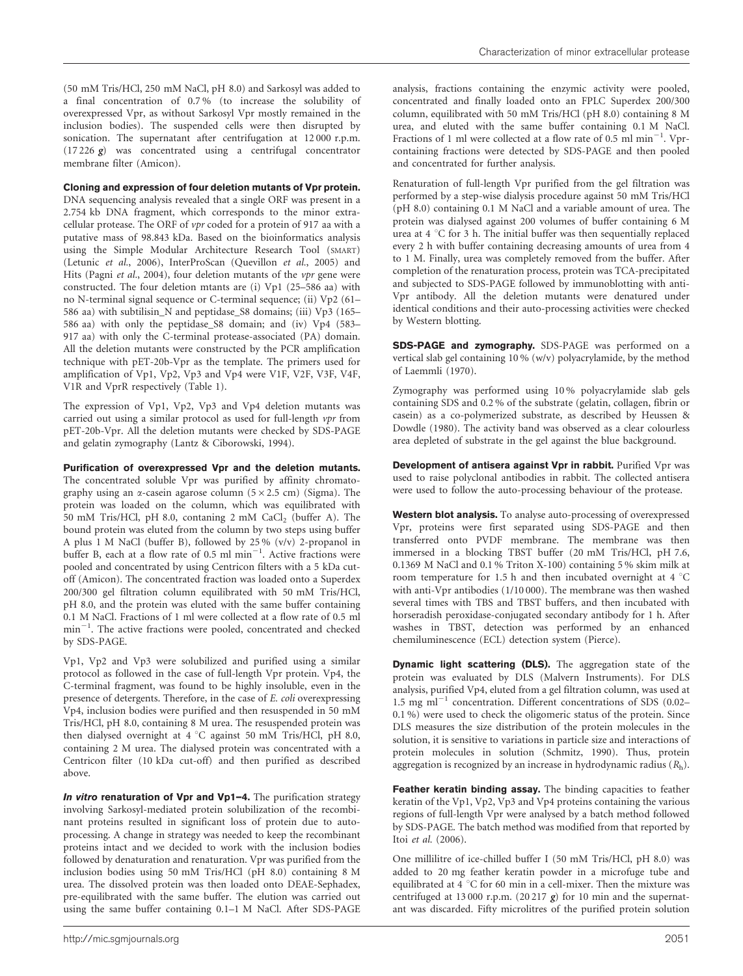#### Cloning and expression of four deletion mutants of Vpr protein.

DNA sequencing analysis revealed that a single ORF was present in a 2.754 kb DNA fragment, which corresponds to the minor extracellular protease. The ORF of vpr coded for a protein of 917 aa with a putative mass of 98.843 kDa. Based on the bioinformatics analysis using the Simple Modular Architecture Research Tool (SMART) (Letunic et al., 2006), InterProScan (Quevillon et al., 2005) and Hits (Pagni et al., 2004), four deletion mutants of the  $vpr$  gene were constructed. The four deletion mtants are (i) Vp1 (25–586 aa) with no N-terminal signal sequence or C-terminal sequence; (ii) Vp2 (61– 586 aa) with subtilisin\_N and peptidase\_S8 domains; (iii) Vp3 (165– 586 aa) with only the peptidase\_S8 domain; and (iv) Vp4 (583– 917 aa) with only the C-terminal protease-associated (PA) domain. All the deletion mutants were constructed by the PCR amplification technique with pET-20b-Vpr as the template. The primers used for amplification of Vp1, Vp2, Vp3 and Vp4 were V1F, V2F, V3F, V4F, V1R and VprR respectively (Table 1).

The expression of Vp1, Vp2, Vp3 and Vp4 deletion mutants was carried out using a similar protocol as used for full-length  $vpr$  from pET-20b-Vpr. All the deletion mutants were checked by SDS-PAGE and gelatin zymography (Lantz & Ciborowski, 1994).

Purification of overexpressed Vpr and the deletion mutants. The concentrated soluble Vpr was purified by affinity chromatography using an  $\alpha$ -casein agarose column ( $5 \times 2.5$  cm) (Sigma). The protein was loaded on the column, which was equilibrated with 50 mM Tris/HCl, pH 8.0, contaning  $2 \text{ mM }$  CaCl<sub>2</sub> (buffer A). The bound protein was eluted from the column by two steps using buffer A plus 1 M NaCl (buffer B), followed by 25 % (v/v) 2-propanol in buffer B, each at a flow rate of 0.5 ml  $\text{min}^{-1}$ . Active fractions were pooled and concentrated by using Centricon filters with a 5 kDa cutoff (Amicon). The concentrated fraction was loaded onto a Superdex 200/300 gel filtration column equilibrated with 50 mM Tris/HCl, pH 8.0, and the protein was eluted with the same buffer containing 0.1 M NaCl. Fractions of 1 ml were collected at a flow rate of 0.5 ml min<sup>-1</sup>. The active fractions were pooled, concentrated and checked by SDS-PAGE.

Vp1, Vp2 and Vp3 were solubilized and purified using a similar protocol as followed in the case of full-length Vpr protein. Vp4, the C-terminal fragment, was found to be highly insoluble, even in the presence of detergents. Therefore, in the case of E. coli overexpressing Vp4, inclusion bodies were purified and then resuspended in 50 mM Tris/HCl, pH 8.0, containing 8 M urea. The resuspended protein was then dialysed overnight at  $4 °C$  against 50 mM Tris/HCl, pH 8.0, containing 2 M urea. The dialysed protein was concentrated with a Centricon filter (10 kDa cut-off) and then purified as described above.

In vitro renaturation of Vpr and Vp1-4. The purification strategy involving Sarkosyl-mediated protein solubilization of the recombinant proteins resulted in significant loss of protein due to autoprocessing. A change in strategy was needed to keep the recombinant proteins intact and we decided to work with the inclusion bodies followed by denaturation and renaturation. Vpr was purified from the inclusion bodies using 50 mM Tris/HCl (pH 8.0) containing 8 M urea. The dissolved protein was then loaded onto DEAE-Sephadex, pre-equilibrated with the same buffer. The elution was carried out using the same buffer containing 0.1–1 M NaCl. After SDS-PAGE analysis, fractions containing the enzymic activity were pooled, concentrated and finally loaded onto an FPLC Superdex 200/300 column, equilibrated with 50 mM Tris/HCl (pH 8.0) containing 8 M urea, and eluted with the same buffer containing 0.1 M NaCl. Fractions of 1 ml were collected at a flow rate of 0.5 ml  $min^{-1}$ . Vprcontaining fractions were detected by SDS-PAGE and then pooled and concentrated for further analysis.

Renaturation of full-length Vpr purified from the gel filtration was performed by a step-wise dialysis procedure against 50 mM Tris/HCl (pH 8.0) containing 0.1 M NaCl and a variable amount of urea. The protein was dialysed against 200 volumes of buffer containing 6 M urea at  $4 \textdegree C$  for 3 h. The initial buffer was then sequentially replaced every 2 h with buffer containing decreasing amounts of urea from 4 to 1 M. Finally, urea was completely removed from the buffer. After completion of the renaturation process, protein was TCA-precipitated and subjected to SDS-PAGE followed by immunoblotting with anti-Vpr antibody. All the deletion mutants were denatured under identical conditions and their auto-processing activities were checked by Western blotting.

SDS-PAGE and zymography. SDS-PAGE was performed on a vertical slab gel containing 10 % (w/v) polyacrylamide, by the method of Laemmli (1970).

Zymography was performed using 10 % polyacrylamide slab gels containing SDS and 0.2 % of the substrate (gelatin, collagen, fibrin or casein) as a co-polymerized substrate, as described by Heussen & Dowdle (1980). The activity band was observed as a clear colourless area depleted of substrate in the gel against the blue background.

Development of antisera against Vpr in rabbit. Purified Vpr was used to raise polyclonal antibodies in rabbit. The collected antisera were used to follow the auto-processing behaviour of the protease.

Western blot analysis. To analyse auto-processing of overexpressed Vpr, proteins were first separated using SDS-PAGE and then transferred onto PVDF membrane. The membrane was then immersed in a blocking TBST buffer (20 mM Tris/HCl, pH 7.6, 0.1369 M NaCl and 0.1 % Triton X-100) containing 5 % skim milk at room temperature for 1.5 h and then incubated overnight at 4  $^{\circ}$ C with anti-Vpr antibodies (1/10 000). The membrane was then washed several times with TBS and TBST buffers, and then incubated with horseradish peroxidase-conjugated secondary antibody for 1 h. After washes in TBST, detection was performed by an enhanced chemiluminescence (ECL) detection system (Pierce).

Dynamic light scattering (DLS). The aggregation state of the protein was evaluated by DLS (Malvern Instruments). For DLS analysis, purified Vp4, eluted from a gel filtration column, was used at 1.5 mg m $l^{-1}$  concentration. Different concentrations of SDS (0.02– 0.1 %) were used to check the oligomeric status of the protein. Since DLS measures the size distribution of the protein molecules in the solution, it is sensitive to variations in particle size and interactions of protein molecules in solution (Schmitz, 1990). Thus, protein aggregation is recognized by an increase in hydrodynamic radius  $(R_h)$ .

Feather keratin binding assay. The binding capacities to feather keratin of the Vp1, Vp2, Vp3 and Vp4 proteins containing the various regions of full-length Vpr were analysed by a batch method followed by SDS-PAGE. The batch method was modified from that reported by Itoi et al. (2006).

One millilitre of ice-chilled buffer I (50 mM Tris/HCl, pH 8.0) was added to 20 mg feather keratin powder in a microfuge tube and equilibrated at 4  $\degree$ C for 60 min in a cell-mixer. Then the mixture was centrifuged at 13 000 r.p.m.  $(20\,217\,g)$  for 10 min and the supernatant was discarded. Fifty microlitres of the purified protein solution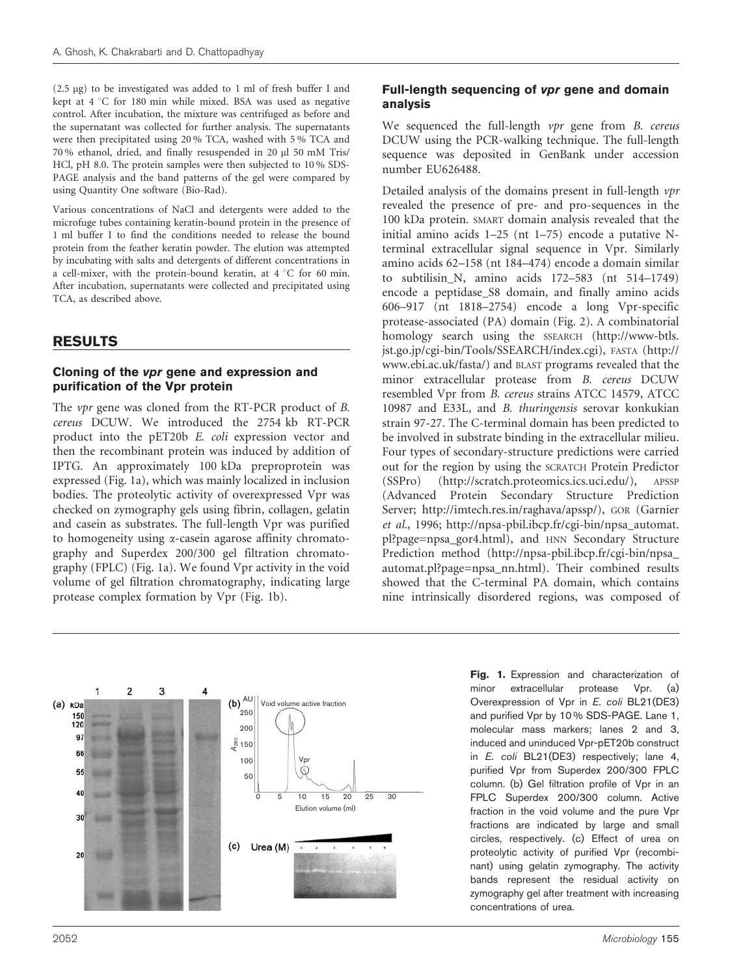(2.5 mg) to be investigated was added to 1 ml of fresh buffer I and kept at  $4 °C$  for 180 min while mixed. BSA was used as negative control. After incubation, the mixture was centrifuged as before and the supernatant was collected for further analysis. The supernatants were then precipitated using 20 % TCA, washed with 5 % TCA and 70 % ethanol, dried, and finally resuspended in 20 ml 50 mM Tris/ HCl, pH 8.0. The protein samples were then subjected to 10 % SDS-PAGE analysis and the band patterns of the gel were compared by using Quantity One software (Bio-Rad).

Various concentrations of NaCl and detergents were added to the microfuge tubes containing keratin-bound protein in the presence of 1 ml buffer I to find the conditions needed to release the bound protein from the feather keratin powder. The elution was attempted by incubating with salts and detergents of different concentrations in a cell-mixer, with the protein-bound keratin, at  $4 °C$  for 60 min. After incubation, supernatants were collected and precipitated using TCA, as described above.

## RESULTS

#### Cloning of the vpr gene and expression and purification of the Vpr protein

The vpr gene was cloned from the RT-PCR product of B. cereus DCUW. We introduced the 2754 kb RT-PCR product into the pET20b E. coli expression vector and then the recombinant protein was induced by addition of IPTG. An approximately 100 kDa preproprotein was expressed (Fig. 1a), which was mainly localized in inclusion bodies. The proteolytic activity of overexpressed Vpr was checked on zymography gels using fibrin, collagen, gelatin and casein as substrates. The full-length Vpr was purified to homogeneity using a-casein agarose affinity chromatography and Superdex 200/300 gel filtration chromatography (FPLC) (Fig. 1a). We found Vpr activity in the void volume of gel filtration chromatography, indicating large protease complex formation by Vpr (Fig. 1b).

#### Full-length sequencing of vpr gene and domain analysis

We sequenced the full-length *vpr* gene from *B. cereus* DCUW using the PCR-walking technique. The full-length sequence was deposited in GenBank under accession number EU626488.

Detailed analysis of the domains present in full-length vpr revealed the presence of pre- and pro-sequences in the 100 kDa protein. SMART domain analysis revealed that the initial amino acids 1–25 (nt 1–75) encode a putative Nterminal extracellular signal sequence in Vpr. Similarly amino acids 62–158 (nt 184–474) encode a domain similar to subtilisin\_N, amino acids 172–583 (nt 514–1749) encode a peptidase\_S8 domain, and finally amino acids 606–917 (nt 1818–2754) encode a long Vpr-specific protease-associated (PA) domain (Fig. 2). A combinatorial homology search using the SSEARCH (http://www-btls. jst.go.jp/cgi-bin/Tools/SSEARCH/index.cgi), FASTA (http:// www.ebi.ac.uk/fasta/) and BLAST programs revealed that the minor extracellular protease from B. cereus DCUW resembled Vpr from B. cereus strains ATCC 14579, ATCC 10987 and E33L, and B. thuringensis serovar konkukian strain 97-27. The C-terminal domain has been predicted to be involved in substrate binding in the extracellular milieu. Four types of secondary-structure predictions were carried out for the region by using the SCRATCH Protein Predictor (SSPro) (http://scratch.proteomics.ics.uci.edu/), APSSP (Advanced Protein Secondary Structure Prediction Server; http://imtech.res.in/raghava/apssp/), GOR (Garnier et al., 1996; http://npsa-pbil.ibcp.fr/cgi-bin/npsa\_automat. pl?page=npsa\_gor4.html), and HNN Secondary Structure Prediction method (http://npsa-pbil.ibcp.fr/cgi-bin/npsa\_ automat.pl?page=npsa\_nn.html). Their combined results showed that the C-terminal PA domain, which contains nine intrinsically disordered regions, was composed of



Fig. 1. Expression and characterization of minor extracellular protease Vpr. (a) Overexpression of Vpr in E. coli BL21(DE3) and purified Vpr by 10 % SDS-PAGE. Lane 1, molecular mass markers; lanes 2 and 3, induced and uninduced Vpr-pET20b construct in *E. coli* BL21(DE3) respectively; lane 4, purified Vpr from Superdex 200/300 FPLC column. (b) Gel filtration profile of Vpr in an FPLC Superdex 200/300 column. Active fraction in the void volume and the pure Vpr fractions are indicated by large and small circles, respectively. (c) Effect of urea on proteolytic activity of purified Vpr (recombinant) using gelatin zymography. The activity bands represent the residual activity on zymography gel after treatment with increasing concentrations of urea.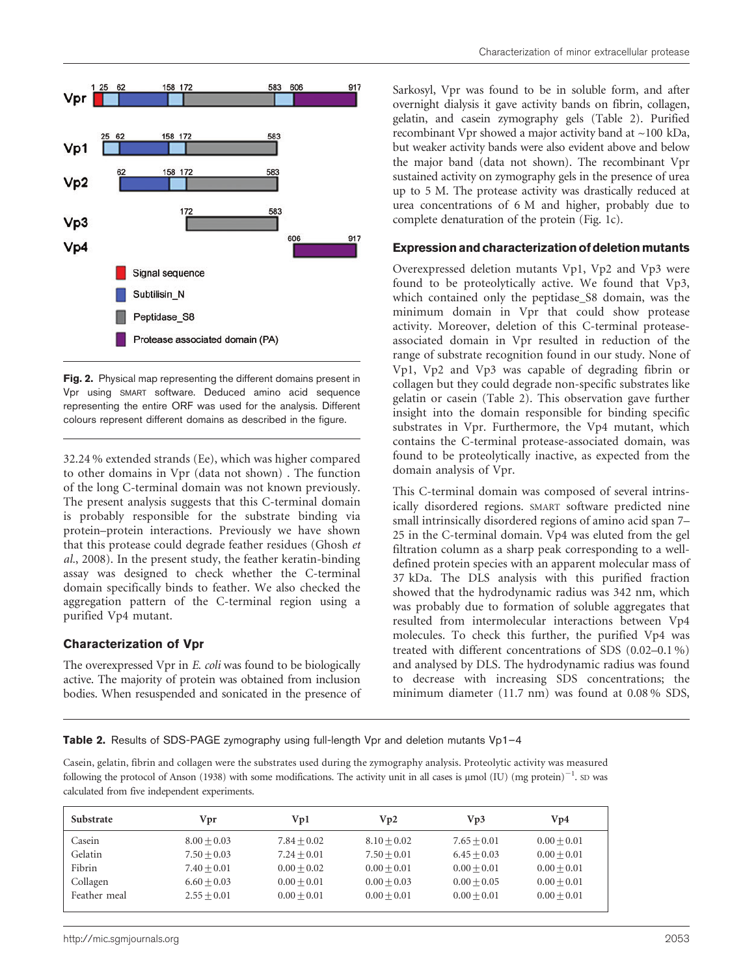

Fig. 2. Physical map representing the different domains present in Vpr using SMART software. Deduced amino acid sequence representing the entire ORF was used for the analysis. Different colours represent different domains as described in the figure.

32.24 % extended strands (Ee), which was higher compared to other domains in Vpr (data not shown) . The function of the long C-terminal domain was not known previously. The present analysis suggests that this C-terminal domain is probably responsible for the substrate binding via protein–protein interactions. Previously we have shown that this protease could degrade feather residues (Ghosh et al., 2008). In the present study, the feather keratin-binding assay was designed to check whether the C-terminal domain specifically binds to feather. We also checked the aggregation pattern of the C-terminal region using a purified Vp4 mutant.

#### Characterization of Vpr

The overexpressed Vpr in E. coli was found to be biologically active. The majority of protein was obtained from inclusion bodies. When resuspended and sonicated in the presence of Sarkosyl, Vpr was found to be in soluble form, and after overnight dialysis it gave activity bands on fibrin, collagen, gelatin, and casein zymography gels (Table 2). Purified recombinant Vpr showed a major activity band at ~100 kDa, but weaker activity bands were also evident above and below the major band (data not shown). The recombinant Vpr sustained activity on zymography gels in the presence of urea up to 5 M. The protease activity was drastically reduced at urea concentrations of 6 M and higher, probably due to complete denaturation of the protein (Fig. 1c).

#### Expression and characterization of deletion mutants

Overexpressed deletion mutants Vp1, Vp2 and Vp3 were found to be proteolytically active. We found that Vp3, which contained only the peptidase\_S8 domain, was the minimum domain in Vpr that could show protease activity. Moreover, deletion of this C-terminal proteaseassociated domain in Vpr resulted in reduction of the range of substrate recognition found in our study. None of Vp1, Vp2 and Vp3 was capable of degrading fibrin or collagen but they could degrade non-specific substrates like gelatin or casein (Table 2). This observation gave further insight into the domain responsible for binding specific substrates in Vpr. Furthermore, the Vp4 mutant, which contains the C-terminal protease-associated domain, was found to be proteolytically inactive, as expected from the domain analysis of Vpr.

This C-terminal domain was composed of several intrinsically disordered regions. SMART software predicted nine small intrinsically disordered regions of amino acid span 7– 25 in the C-terminal domain. Vp4 was eluted from the gel filtration column as a sharp peak corresponding to a welldefined protein species with an apparent molecular mass of 37 kDa. The DLS analysis with this purified fraction showed that the hydrodynamic radius was 342 nm, which was probably due to formation of soluble aggregates that resulted from intermolecular interactions between Vp4 molecules. To check this further, the purified Vp4 was treated with different concentrations of SDS (0.02–0.1 %) and analysed by DLS. The hydrodynamic radius was found to decrease with increasing SDS concentrations; the minimum diameter (11.7 nm) was found at 0.08 % SDS,

Table 2. Results of SDS-PAGE zymography using full-length Vpr and deletion mutants Vp1-4

Casein, gelatin, fibrin and collagen were the substrates used during the zymography analysis. Proteolytic activity was measured following the protocol of Anson (1938) with some modifications. The activity unit in all cases is  $\mu$ mol (IU) (mg protein) $^{-1}$ . SD was calculated from five independent experiments.

| <b>Substrate</b> | Vpr           | Vp1           | Vp2           | Vp3           | Vp4           |
|------------------|---------------|---------------|---------------|---------------|---------------|
| Casein           | $8.00 + 0.03$ | $7.84 + 0.02$ | $8.10 + 0.02$ | $7.65 + 0.01$ | $0.00 + 0.01$ |
| Gelatin          | $7.50 + 0.03$ | $7.24 + 0.01$ | $7.50 + 0.01$ | $6.45 + 0.03$ | $0.00 + 0.01$ |
| Fibrin           | $7.40 + 0.01$ | $0.00 + 0.02$ | $0.00 + 0.01$ | $0.00 + 0.01$ | $0.00 + 0.01$ |
| Collagen         | $6.60 + 0.03$ | $0.00 + 0.01$ | $0.00 + 0.03$ | $0.00 + 0.05$ | $0.00 + 0.01$ |
| Feather meal     | $2.55 + 0.01$ | $0.00 + 0.01$ | $0.00 + 0.01$ | $0.00 + 0.01$ | $0.00 + 0.01$ |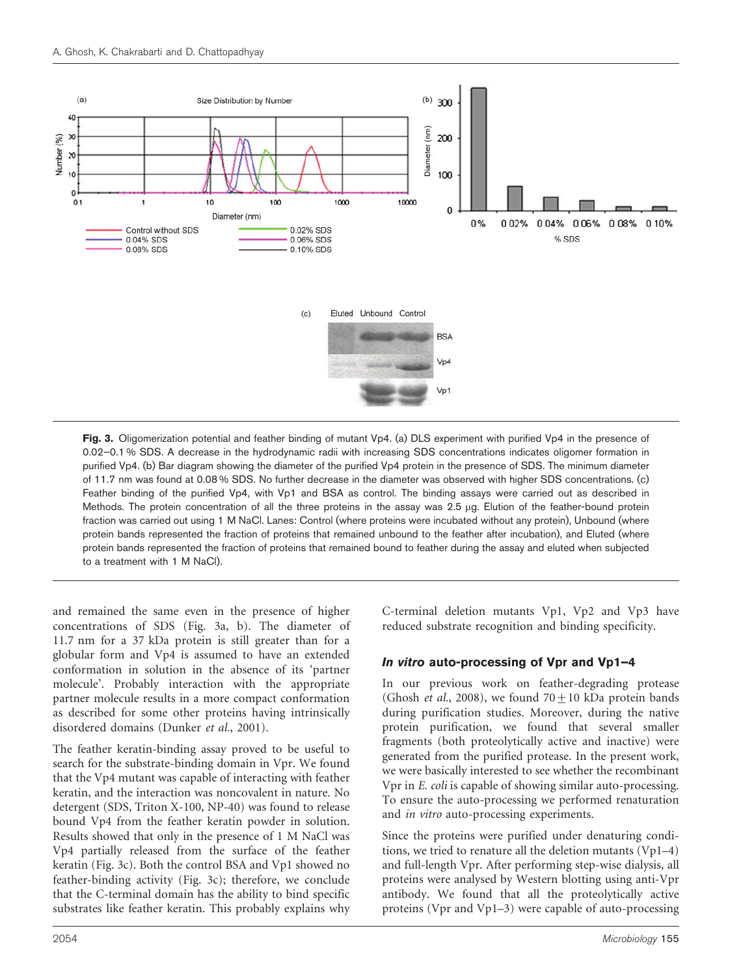

Fig. 3. Oligomerization potential and feather binding of mutant Vp4. (a) DLS experiment with purified Vp4 in the presence of 0.02–0.1 % SDS. A decrease in the hydrodynamic radii with increasing SDS concentrations indicates oligomer formation in purified Vp4. (b) Bar diagram showing the diameter of the purified Vp4 protein in the presence of SDS. The minimum diameter of 11.7 nm was found at 0.08 % SDS. No further decrease in the diameter was observed with higher SDS concentrations. (c) Feather binding of the purified Vp4, with Vp1 and BSA as control. The binding assays were carried out as described in Methods. The protein concentration of all the three proteins in the assay was 2.5 µg. Elution of the feather-bound protein fraction was carried out using 1 M NaCl. Lanes: Control (where proteins were incubated without any protein), Unbound (where protein bands represented the fraction of proteins that remained unbound to the feather after incubation), and Eluted (where protein bands represented the fraction of proteins that remained bound to feather during the assay and eluted when subjected to a treatment with 1 M NaCl).

and remained the same even in the presence of higher concentrations of SDS (Fig. 3a, b). The diameter of 11.7 nm for a 37 kDa protein is still greater than for a globular form and Vp4 is assumed to have an extended conformation in solution in the absence of its 'partner molecule'. Probably interaction with the appropriate partner molecule results in a more compact conformation as described for some other proteins having intrinsically disordered domains (Dunker et al., 2001).

The feather keratin-binding assay proved to be useful to search for the substrate-binding domain in Vpr. We found that the Vp4 mutant was capable of interacting with feather keratin, and the interaction was noncovalent in nature. No detergent (SDS, Triton X-100, NP-40) was found to release bound Vp4 from the feather keratin powder in solution. Results showed that only in the presence of 1 M NaCl was Vp4 partially released from the surface of the feather keratin (Fig. 3c). Both the control BSA and Vp1 showed no feather-binding activity (Fig. 3c); therefore, we conclude that the C-terminal domain has the ability to bind specific substrates like feather keratin. This probably explains why

C-terminal deletion mutants Vp1, Vp2 and Vp3 have reduced substrate recognition and binding specificity.

#### In vitro auto-processing of Vpr and Vp1–4

In our previous work on feather-degrading protease (Ghosh *et al.*, 2008), we found  $70 \pm 10$  kDa protein bands during purification studies. Moreover, during the native protein purification, we found that several smaller fragments (both proteolytically active and inactive) were generated from the purified protease. In the present work, we were basically interested to see whether the recombinant Vpr in E. coli is capable of showing similar auto-processing. To ensure the auto-processing we performed renaturation and in vitro auto-processing experiments.

Since the proteins were purified under denaturing conditions, we tried to renature all the deletion mutants (Vp1–4) and full-length Vpr. After performing step-wise dialysis, all proteins were analysed by Western blotting using anti-Vpr antibody. We found that all the proteolytically active proteins (Vpr and Vp1–3) were capable of auto-processing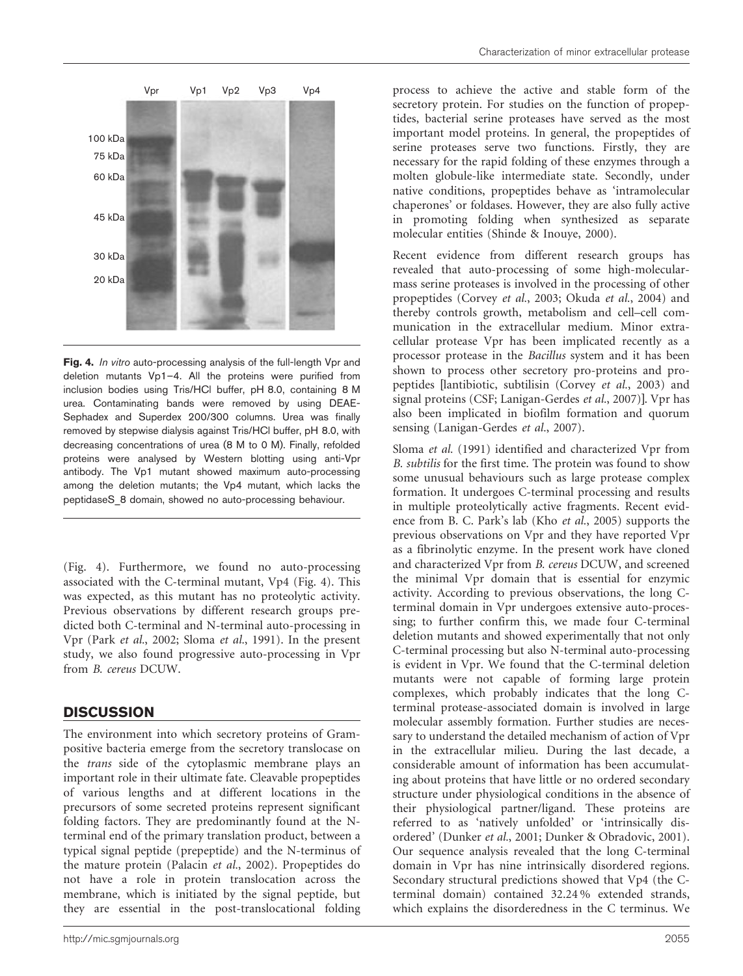

Fig. 4. In vitro auto-processing analysis of the full-length Vpr and deletion mutants Vp1–4. All the proteins were purified from inclusion bodies using Tris/HCl buffer, pH 8.0, containing 8 M urea. Contaminating bands were removed by using DEAE-Sephadex and Superdex 200/300 columns. Urea was finally removed by stepwise dialysis against Tris/HCl buffer, pH 8.0, with decreasing concentrations of urea (8 M to 0 M). Finally, refolded proteins were analysed by Western blotting using anti-Vpr antibody. The Vp1 mutant showed maximum auto-processing among the deletion mutants; the Vp4 mutant, which lacks the peptidaseS\_8 domain, showed no auto-processing behaviour.

(Fig. 4). Furthermore, we found no auto-processing associated with the C-terminal mutant, Vp4 (Fig. 4). This was expected, as this mutant has no proteolytic activity. Previous observations by different research groups predicted both C-terminal and N-terminal auto-processing in Vpr (Park et al., 2002; Sloma et al., 1991). In the present study, we also found progressive auto-processing in Vpr from B. cereus DCUW.

## **DISCUSSION**

The environment into which secretory proteins of Grampositive bacteria emerge from the secretory translocase on the trans side of the cytoplasmic membrane plays an important role in their ultimate fate. Cleavable propeptides of various lengths and at different locations in the precursors of some secreted proteins represent significant folding factors. They are predominantly found at the Nterminal end of the primary translation product, between a typical signal peptide (prepeptide) and the N-terminus of the mature protein (Palacin et al., 2002). Propeptides do not have a role in protein translocation across the membrane, which is initiated by the signal peptide, but they are essential in the post-translocational folding

process to achieve the active and stable form of the secretory protein. For studies on the function of propeptides, bacterial serine proteases have served as the most important model proteins. In general, the propeptides of serine proteases serve two functions. Firstly, they are necessary for the rapid folding of these enzymes through a molten globule-like intermediate state. Secondly, under native conditions, propeptides behave as 'intramolecular chaperones' or foldases. However, they are also fully active in promoting folding when synthesized as separate molecular entities (Shinde & Inouye, 2000).

Recent evidence from different research groups has revealed that auto-processing of some high-molecularmass serine proteases is involved in the processing of other propeptides (Corvey et al., 2003; Okuda et al., 2004) and thereby controls growth, metabolism and cell–cell communication in the extracellular medium. Minor extracellular protease Vpr has been implicated recently as a processor protease in the Bacillus system and it has been shown to process other secretory pro-proteins and propeptides [lantibiotic, subtilisin (Corvey et al., 2003) and signal proteins (CSF; Lanigan-Gerdes et al., 2007)]. Vpr has also been implicated in biofilm formation and quorum sensing (Lanigan-Gerdes et al., 2007).

Sloma et al. (1991) identified and characterized Vpr from B. subtilis for the first time. The protein was found to show some unusual behaviours such as large protease complex formation. It undergoes C-terminal processing and results in multiple proteolytically active fragments. Recent evidence from B. C. Park's lab (Kho et al., 2005) supports the previous observations on Vpr and they have reported Vpr as a fibrinolytic enzyme. In the present work have cloned and characterized Vpr from B. cereus DCUW, and screened the minimal Vpr domain that is essential for enzymic activity. According to previous observations, the long Cterminal domain in Vpr undergoes extensive auto-processing; to further confirm this, we made four C-terminal deletion mutants and showed experimentally that not only C-terminal processing but also N-terminal auto-processing is evident in Vpr. We found that the C-terminal deletion mutants were not capable of forming large protein complexes, which probably indicates that the long Cterminal protease-associated domain is involved in large molecular assembly formation. Further studies are necessary to understand the detailed mechanism of action of Vpr in the extracellular milieu. During the last decade, a considerable amount of information has been accumulating about proteins that have little or no ordered secondary structure under physiological conditions in the absence of their physiological partner/ligand. These proteins are referred to as 'natively unfolded' or 'intrinsically disordered' (Dunker et al., 2001; Dunker & Obradovic, 2001). Our sequence analysis revealed that the long C-terminal domain in Vpr has nine intrinsically disordered regions. Secondary structural predictions showed that Vp4 (the Cterminal domain) contained 32.24 % extended strands, which explains the disorderedness in the C terminus. We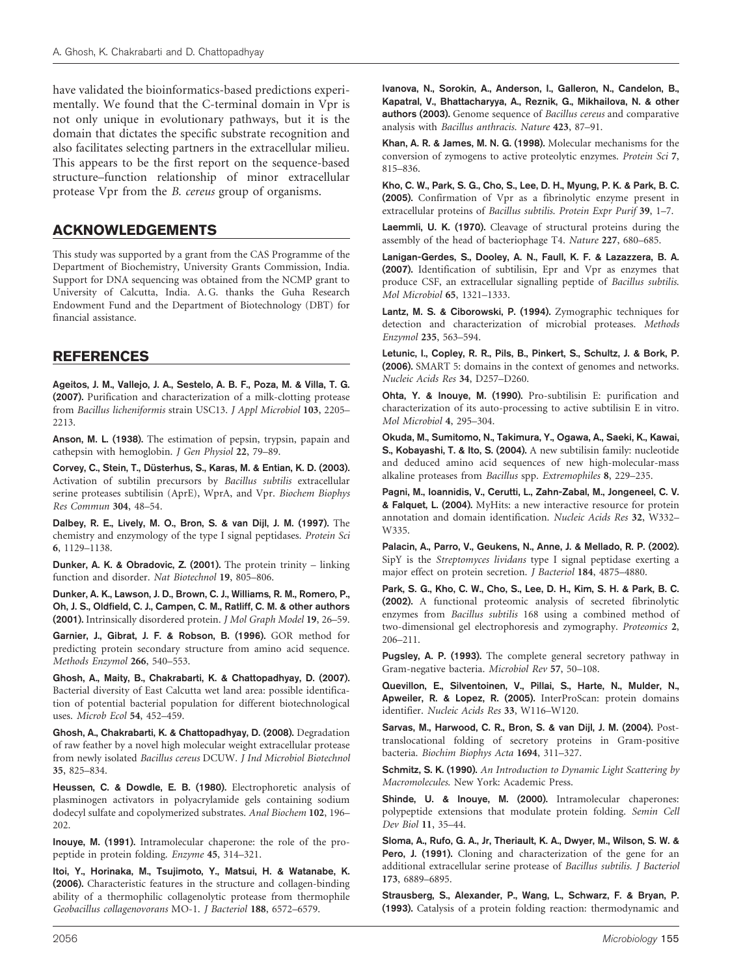have validated the bioinformatics-based predictions experimentally. We found that the C-terminal domain in Vpr is not only unique in evolutionary pathways, but it is the domain that dictates the specific substrate recognition and also facilitates selecting partners in the extracellular milieu. This appears to be the first report on the sequence-based structure–function relationship of minor extracellular protease Vpr from the B. cereus group of organisms.

### ACKNOWLEDGEMENTS

This study was supported by a grant from the CAS Programme of the Department of Biochemistry, University Grants Commission, India. Support for DNA sequencing was obtained from the NCMP grant to University of Calcutta, India. A. G. thanks the Guha Research Endowment Fund and the Department of Biotechnology (DBT) for financial assistance.

### REFERENCES

Ageitos, J. M., Vallejo, J. A., Sestelo, A. B. F., Poza, M. & Villa, T. G. (2007). Purification and characterization of a milk-clotting protease from Bacillus licheniformis strain USC13. J Appl Microbiol 103, 2205– 2213.

Anson, M. L. (1938). The estimation of pepsin, trypsin, papain and cathepsin with hemoglobin. J Gen Physiol 22, 79–89.

Corvey, C., Stein, T., Düsterhus, S., Karas, M. & Entian, K. D. (2003). Activation of subtilin precursors by Bacillus subtilis extracellular serine proteases subtilisin (AprE), WprA, and Vpr. Biochem Biophys Res Commun 304, 48–54.

Dalbey, R. E., Lively, M. O., Bron, S. & van Dijl, J. M. (1997). The chemistry and enzymology of the type I signal peptidases. Protein Sci 6, 1129–1138.

Dunker, A. K. & Obradovic, Z. (2001). The protein trinity – linking function and disorder. Nat Biotechnol 19, 805–806.

Dunker, A. K., Lawson, J. D., Brown, C. J., Williams, R. M., Romero, P., Oh, J. S., Oldfield, C. J., Campen, C. M., Ratliff, C. M. & other authors (2001). Intrinsically disordered protein. J Mol Graph Model 19, 26–59.

Garnier, J., Gibrat, J. F. & Robson, B. (1996). GOR method for predicting protein secondary structure from amino acid sequence. Methods Enzymol 266, 540–553.

Ghosh, A., Maity, B., Chakrabarti, K. & Chattopadhyay, D. (2007). Bacterial diversity of East Calcutta wet land area: possible identification of potential bacterial population for different biotechnological uses. Microb Ecol 54, 452–459.

Ghosh, A., Chakrabarti, K. & Chattopadhyay, D. (2008). Degradation of raw feather by a novel high molecular weight extracellular protease from newly isolated Bacillus cereus DCUW. J Ind Microbiol Biotechnol 35, 825–834.

Heussen, C. & Dowdle, E. B. (1980). Electrophoretic analysis of plasminogen activators in polyacrylamide gels containing sodium dodecyl sulfate and copolymerized substrates. Anal Biochem 102, 196– 202.

Inouye, M. (1991). Intramolecular chaperone: the role of the propeptide in protein folding. Enzyme 45, 314–321.

Itoi, Y., Horinaka, M., Tsujimoto, Y., Matsui, H. & Watanabe, K. (2006). Characteristic features in the structure and collagen-binding ability of a thermophilic collagenolytic protease from thermophile Geobacillus collagenovorans MO-1. J Bacteriol 188, 6572–6579.

Ivanova, N., Sorokin, A., Anderson, I., Galleron, N., Candelon, B., Kapatral, V., Bhattacharyya, A., Reznik, G., Mikhailova, N. & other authors (2003). Genome sequence of Bacillus cereus and comparative analysis with Bacillus anthracis. Nature 423, 87–91.

Khan, A. R. & James, M. N. G. (1998). Molecular mechanisms for the conversion of zymogens to active proteolytic enzymes. Protein Sci 7, 815–836.

Kho, C. W., Park, S. G., Cho, S., Lee, D. H., Myung, P. K. & Park, B. C. (2005). Confirmation of Vpr as a fibrinolytic enzyme present in extracellular proteins of Bacillus subtilis. Protein Expr Purif 39, 1–7.

Laemmli, U. K. (1970). Cleavage of structural proteins during the assembly of the head of bacteriophage T4. Nature 227, 680–685.

Lanigan-Gerdes, S., Dooley, A. N., Faull, K. F. & Lazazzera, B. A. (2007). Identification of subtilisin, Epr and Vpr as enzymes that produce CSF, an extracellular signalling peptide of Bacillus subtilis. Mol Microbiol 65, 1321–1333.

Lantz, M. S. & Ciborowski, P. (1994). Zymographic techniques for detection and characterization of microbial proteases. Methods Enzymol 235, 563–594.

Letunic, I., Copley, R. R., Pils, B., Pinkert, S., Schultz, J. & Bork, P. (2006). SMART 5: domains in the context of genomes and networks. Nucleic Acids Res 34, D257–D260.

Ohta, Y. & Inouye, M. (1990). Pro-subtilisin E: purification and characterization of its auto-processing to active subtilisin E in vitro. Mol Microbiol 4, 295–304.

Okuda, M., Sumitomo, N., Takimura, Y., Ogawa, A., Saeki, K., Kawai, S., Kobayashi, T. & Ito, S. (2004). A new subtilisin family: nucleotide and deduced amino acid sequences of new high-molecular-mass alkaline proteases from Bacillus spp. Extremophiles 8, 229–235.

Pagni, M., Ioannidis, V., Cerutti, L., Zahn-Zabal, M., Jongeneel, C. V. & Falquet, L. (2004). MyHits: a new interactive resource for protein annotation and domain identification. Nucleic Acids Res 32, W332– W335.

Palacin, A., Parro, V., Geukens, N., Anne, J. & Mellado, R. P. (2002). SipY is the Streptomyces lividans type I signal peptidase exerting a major effect on protein secretion. J Bacteriol 184, 4875–4880.

Park, S. G., Kho, C. W., Cho, S., Lee, D. H., Kim, S. H. & Park, B. C. (2002). A functional proteomic analysis of secreted fibrinolytic enzymes from Bacillus subtilis 168 using a combined method of two-dimensional gel electrophoresis and zymography. Proteomics 2, 206–211.

Pugsley, A. P. (1993). The complete general secretory pathway in Gram-negative bacteria. Microbiol Rev 57, 50–108.

Quevillon, E., Silventoinen, V., Pillai, S., Harte, N., Mulder, N., Apweiler, R. & Lopez, R. (2005). InterProScan: protein domains identifier. Nucleic Acids Res 33, W116–W120.

Sarvas, M., Harwood, C. R., Bron, S. & van Dijl, J. M. (2004). Posttranslocational folding of secretory proteins in Gram-positive bacteria. Biochim Biophys Acta 1694, 311–327.

Schmitz, S. K. (1990). An Introduction to Dynamic Light Scattering by Macromolecules. New York: Academic Press.

Shinde, U. & Inouye, M. (2000). Intramolecular chaperones: polypeptide extensions that modulate protein folding. Semin Cell Dev Biol 11, 35–44.

Sloma, A., Rufo, G. A., Jr, Theriault, K. A., Dwyer, M., Wilson, S. W. & Pero, J. (1991). Cloning and characterization of the gene for an additional extracellular serine protease of Bacillus subtilis. J Bacteriol 173, 6889–6895.

Strausberg, S., Alexander, P., Wang, L., Schwarz, F. & Bryan, P. (1993). Catalysis of a protein folding reaction: thermodynamic and